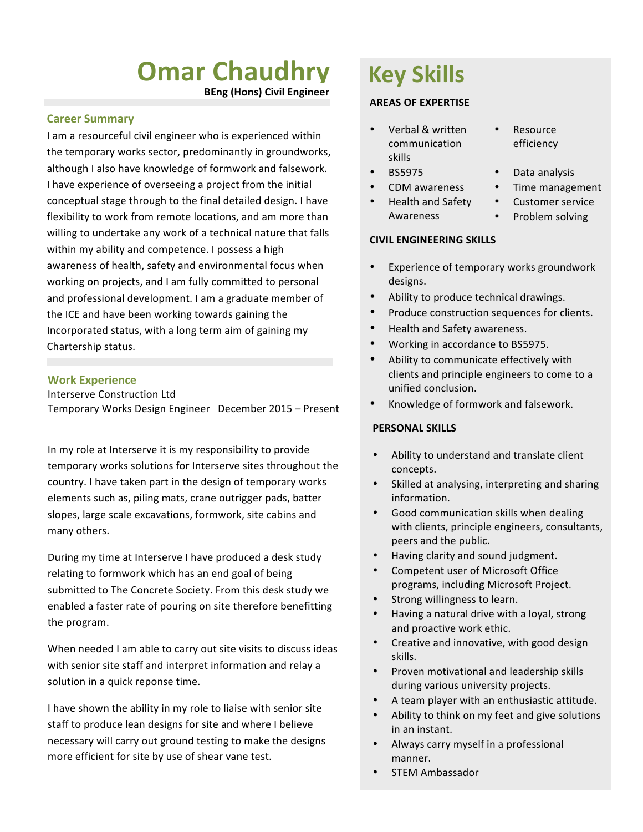# **Omar Chaudhry**

**BEng (Hons) Civil Engineer**

## **Career Summary**

I am a resourceful civil engineer who is experienced within the temporary works sector, predominantly in groundworks, although I also have knowledge of formwork and falsework. I have experience of overseeing a project from the initial conceptual stage through to the final detailed design. I have flexibility to work from remote locations, and am more than willing to undertake any work of a technical nature that falls within my ability and competence. I possess a high awareness of health, safety and environmental focus when working on projects, and I am fully committed to personal and professional development. I am a graduate member of the ICE and have been working towards gaining the Incorporated status, with a long term aim of gaining my Chartership status.

#### **Work Experience**

Interserve Construction Ltd

Temporary Works Design Engineer December 2015 - Present

In my role at Interserve it is my responsibility to provide temporary works solutions for Interserve sites throughout the country. I have taken part in the design of temporary works elements such as, piling mats, crane outrigger pads, batter slopes, large scale excavations, formwork, site cabins and many others.

During my time at Interserve I have produced a desk study relating to formwork which has an end goal of being submitted to The Concrete Society. From this desk study we enabled a faster rate of pouring on site therefore benefitting the program.

When needed I am able to carry out site visits to discuss ideas with senior site staff and interpret information and relay a solution in a quick reponse time.

I have shown the ability in my role to liaise with senior site staff to produce lean designs for site and where I believe necessary will carry out ground testing to make the designs more efficient for site by use of shear vane test.

# **Key Skills**

#### **AREAS OF EXPERTISE**

- Verbal & written communication skills
- 
- 
- Health and Safety
	- Awareness

# **CIVIL ENGINEERING SKILLS**

- Experience of temporary works groundwork designs.
- Ability to produce technical drawings.
- Produce construction sequences for clients.
- Health and Safety awareness.
- Working in accordance to BS5975.
- Ability to communicate effectively with clients and principle engineers to come to a unified conclusion.
- Knowledge of formwork and falsework.

#### **PERSONAL SKILLS**

- Ability to understand and translate client concepts.
- Skilled at analysing, interpreting and sharing information.
- Good communication skills when dealing with clients, principle engineers, consultants, peers and the public.
- Having clarity and sound judgment.
- Competent user of Microsoft Office programs, including Microsoft Project.
- Strong willingness to learn.
- Having a natural drive with a loyal, strong and proactive work ethic.
- Creative and innovative, with good design skills.
- Proven motivational and leadership skills during various university projects.
- A team player with an enthusiastic attitude.
- Ability to think on my feet and give solutions in an instant.
- Always carry myself in a professional manner.
- STEM Ambassador
- **Resource** efficiency
- **BS5975** Data analysis
- CDM awareness Time management
	- Customer service
	- Problem solving